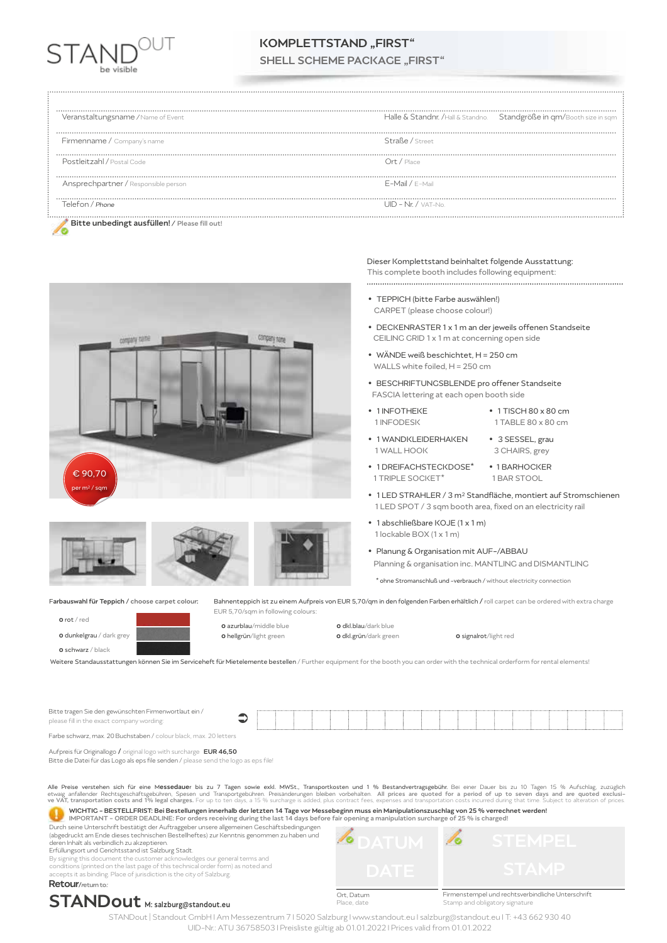

# KOMPLETTSTAND "FIRST"

SHELL SCHEME PACKAGE ..FIRST"

| Veranstaltungsname / Name of Event            | Halle & Standnr. /Hall & Standno. Standgröße in qm/Booth size in sqm |
|-----------------------------------------------|----------------------------------------------------------------------|
| <br>Firmenname / Company's name               | Straße / Street                                                      |
| Postleitzahl / Postal Code                    | $Ort /$ Place                                                        |
| Ansprechpartner / Responsible person          | F-Mail / F-Mail                                                      |
| Telefon / Phone                               | $UID - Nr. / VAT-No.$                                                |
| Bitte unbedingt ausfüllen! / Please fill out! |                                                                      |







## Dieser Komplettstand beinhaltet folgende Ausstattung:

This complete booth includes following equipment: 

- **•** TEPPICH (bitte Farbe auswählen!) CARPET (please choose colour!)
- **•** DECKENRASTER 1 x 1 m an der jeweils offenen Standseite CEILING GRID 1 x 1 m at concerning open side
- **•** WÄNDE weiß beschichtet, H = 250 cm WALLS white foiled, H = 250 cm
- **•** BESCHRIFTUNGSBLENDE pro offener Standseite FASCIA lettering at each open booth side
- **•** 1 INFOTHEKE **•** 1 TISCH 80 x 80 cm
- 1 INFODESK 1 TABLE 80 x 80 cm
- **•** 1 WANDKLEIDERHAKEN **•** 3 SESSEL, grau
- 3 CHAIRS, grey **•** 1 DREIFACHSTECKDOSE\* **•** 1 BARHOCKER
- 1 TRIPLE SOCKET\* 1 BAR STOOL
- **•** 1 LED STRAHLER / 3 m2 Standfläche, montiert auf Stromschienen 1 LED SPOT / 3 sqm booth area, fixed on an electricity rail
- **•** 1 abschließbare KOJE (1 x 1 m) 1 lockable BOX (1 x 1 m)
- **•** Planung & Organisation mit AUF-/ABBAU Planning & organisation inc. MANTLING and DISMANTLING
	- \* ohne Stromanschluß und -verbrauch / without electricity connection

Farbauswahl für Teppich / choose carpet colour: Bahnenteppich ist zu einem Aufpreis von EUR 5,70/qm in den folgenden Farben erhältlich / roll carpet can be ordered with extra charge EUR 5,70/sqm in following colours:

0 rot / red



0 schwarz / black



**o** hellgrün/light green **0 dkl.grün/dark green 0 signalrot/light red** 

 $\bullet$ 

**0** azurblau/middle blue **0 dkl.blau/dark blue** 

 $\sqrt{\circ}$ 

Weitere Standausstattungen können Sie im Serviceheft für Mietelemente bestellen / Further equipment for the booth you can order with the technical orderform for rental elements!

Bitte tragen Sie den gewünschten Firmenwortlaut ein / please fill in the exact company wording:

Farbe schwarz, max. 20 Buchstaben / colour black, max. 20 letters

Aufpreis für Originallogo / original logo with surcharge **EUR 46,50** 

Bitte die Datei für das Logo als eps file senden / please send the logo as eps file!

All<mark>e Preise verstehen sich für eine M**essedaue**r bis zu 7 Tagen sowie exkl. MWSt., Transportkosten und 1 % Bestandvertragsgebühr.</mark> Bei einer Dauer bis zu 10 Tagen 15 % Aufschlag, zuzüglich<br>etwaig anfallender Rechtsgeschäf

WICHTIG - BESTELLFRIST: Bei Bestellungen innerhalb der letzten 14 Tage vor Messebeginn muss ein Manipulationszuschlag von 25 % verrechnet werden! o IMPORTANT - ORDER DEADLINE: For orders receiving during the last 14 days before fair opening a manipulation surcharge of 25 % is charged!

Durch seine Unterschrift bestätigt der Auftraggeber unsere allgemeinen Geschäftsbedingungen (abgedruckt am Ende dieses technischen Bestellheftes) zur Kenntnis genommen zu haben und deren Inhalt als verbindlich zu akzeptieren.

Erfüllungsort und Gerichtsstand ist Salzburg Stadt.

By signing this document the customer acknowledges our general terms and

conditions (printed on the last page of this technical order form) as noted and accepts it as binding. Place of jurisdiction is the city of Salzburg. Retour/return to:

# STANDout M: salzburg@standout.eu

Ort, Datum e date

۰

Firmenstempel und rechtsverbindliche Unterschrift Stamp and obligatory signatur

STANDout | Standout GmbH I Am Messezentrum 7 I 5020 Salzburg I www.standout.eu I salzburg@standout.eu I T: +43 662 930 40 UID-Nr.: ATU 36758503 I Preisliste gültig ab 01.01.2022 I Prices valid from 01.01.2022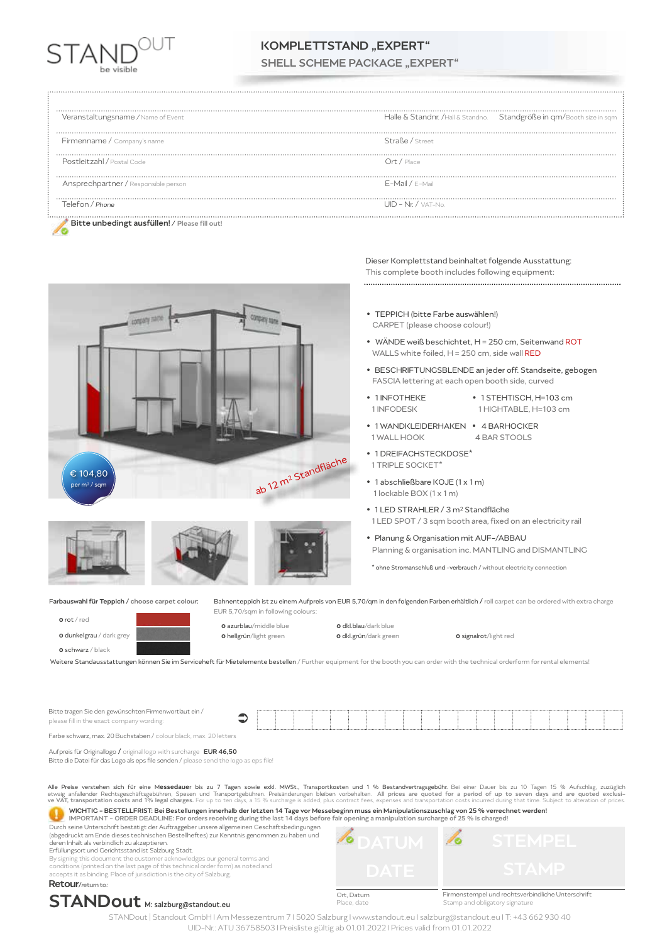

# KOMPLETTSTAND ..EXPERT"

SHELL SCHEME PACKAGE ..EXPERT"

| Veranstaltungsname / Name of Event            | Halle & Standnr. /Hall & Standno. Standgröße in qm/Booth size in sqm |
|-----------------------------------------------|----------------------------------------------------------------------|
| Firmenname / Company's name                   | Straße / Street                                                      |
| Postleitzahl / Postal Code                    | $Ort /$ Place                                                        |
| Ansprechpartner / Responsible person          | F-Mail / F-Mail                                                      |
| Telefon / Phone                               | $UID - Nr. / VAT-No.$                                                |
| Bitte unbedingt ausfüllen! / Please fill out! |                                                                      |





Dieser Komplettstand beinhaltet folgende Ausstattung: This complete booth includes following equipment:

**•** TEPPICH (bitte Farbe auswählen!) CARPET (please choose colour!)

- WÄNDE weiß beschichtet, H = 250 cm, Seitenwand ROT WALLS white foiled, H = 250 cm, side wall RED
- **•** BESCHRIFTUNGSBLENDE an jeder off. Standseite, gebogen FASCIA lettering at each open booth side, curved
- **•** 1 INFOTHEKE **•** 1 STEHTISCH, H=103 cm
	- 1 HIGHTABLE, H=103 cm
- **•** 1 WANDKLEIDERHAKEN **•** 4 BARHOCKER 4 BAR STOOLS
- **•** 1 DREIFACHSTECKDOSE\* 1 TRIPLE SOCKET\*

Bahnenteppich ist zu einem Aufpreis von EUR 5,70/qm in den folgenden Farben erhältlich / roll carpet can be ordered with extra charge

- **•** 1 abschließbare KOJE (1 x 1 m) 1 lockable BOX (1 x 1 m)
- **•** 1 LED STRAHLER / 3 m2 Standfläche 1 LED SPOT / 3 sqm booth area, fixed on an electricity rail
- **•** Planung & Organisation mit AUF-/ABBAU Planning & organisation inc. MANTLING and DISMANTLING

\* ohne Stromanschluß und -verbrauch / without electricity connection

Farbauswahl für Teppich / choose carpet colour:

0 rot / red



0 schwarz / black



EUR 5,70/sqm in following colours:

```
o hellgrün/light green 0 dkl.grün/dark green 0 signalrot/light red
```
 $\bullet$ 

**0** azurblau/middle blue **0 dkl.blau/dark blue** 

Weitere Standausstattungen können Sie im Serviceheft für Mietelemente bestellen / Further equipment for the booth you can order with the technical orderform for rental elements!

Bitte tragen Sie den gewünschten Firmenwortlaut ein / please fill in the exact company wording:

Farbe schwarz, max. 20 Buchstaben / colour black, max. 20 letters

Aufpreis für Originallogo / original logo with surcharge **EUR 46,50** 

Bitte die Datei für das Logo als eps file senden / please send the logo as eps file!

All<mark>e Preise verstehen sich für eine M**essedaue**r bis zu 7 Tagen sowie exkl. MWSt., Transportkosten und 1 % Bestandvertragsgebühr.</mark> Bei einer Dauer bis zu 10 Tagen 15 % Aufschlag, zuzüglich<br>etwaig anfallender Rechtsgeschäf

WICHTIG - BESTELLFRIST: Bei Bestellungen innerhalb der letzten 14 Tage vor Messebeginn muss ein Manipulationszuschlag von 25 % verrechnet werden! o IMPORTANT - ORDER DEADLINE: For orders receiving during the last 14 days before fair opening a manipulation surcharge of 25 % is charged!

Durch seine Unterschrift bestätigt der Auftraggeber unsere allgemeinen Geschäftsbedingungen (abgedruckt am Ende dieses technischen Bestellheftes) zur Kenntnis genommen zu haben und deren Inhalt als verbindlich zu akzeptieren.

Erfüllungsort und Gerichtsstand ist Salzburg Stadt.

By signing this document the customer acknowledges our general terms and

conditions (printed on the last page of this technical order form) as noted and accepts it as binding. Place of jurisdiction is the city of Salzburg. Retour/return to:





Ort, Datum e date

۰



 $\sqrt{\circ}$ 

STANDout | Standout GmbH I Am Messezentrum 7 I 5020 Salzburg I www.standout.eu I salzburg@standout.eu I T: +43 662 930 40 UID-Nr.: ATU 36758503 I Preisliste gültig ab 01.01.2022 I Prices valid from 01.01.2022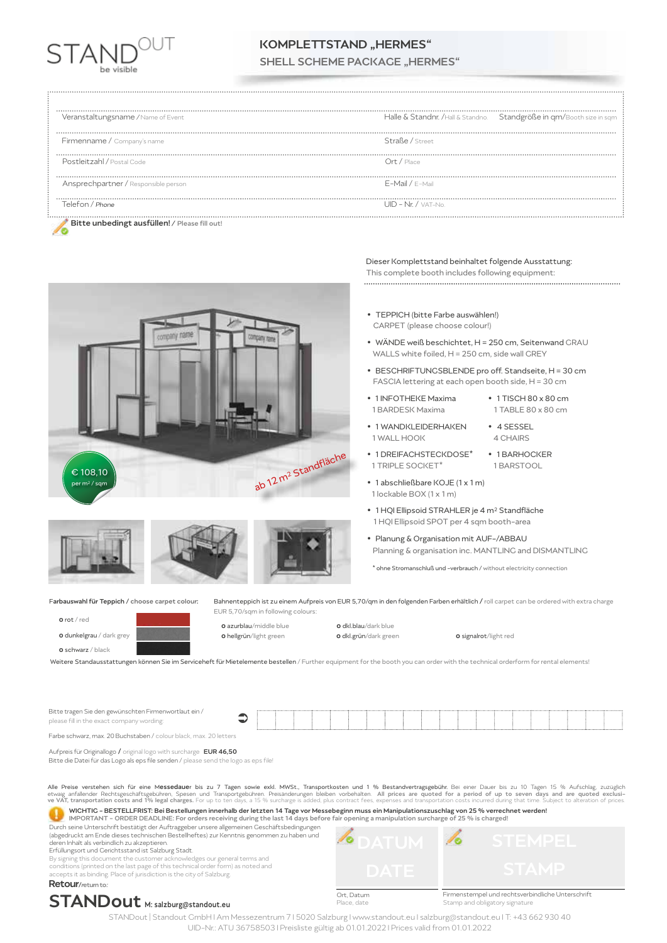

### KOMPLETTSTAND ..HERMES" SHELL SCHEME PACKAGE "HERMES"

| Veranstaltungsname / Name of Event            | Halle & Standnr. /Hall & Standno. Standgröße in qm/Booth size in sqm |
|-----------------------------------------------|----------------------------------------------------------------------|
| Firmenname / Company's name                   | Straße / Street                                                      |
| Postleitzahl / Postal Code                    | Ort / Place                                                          |
| Ansprechpartner / Responsible person          | F-Mail / F-Mail                                                      |
| Telefon / Phone                               | $UID - Nr. / VAT-No.$                                                |
| Bitte unbedingt ausfüllen! / Please fill out! |                                                                      |



### Dieser Komplettstand beinhaltet folgende Ausstattung:

This complete booth includes following equipment: 

**•** TEPPICH (bitte Farbe auswählen!) CARPET (please choose colour!)

- **•** WÄNDE weiß beschichtet, H = 250 cm, Seitenwand GRAU WALLS white foiled, H = 250 cm, side wall GREY
- **•** BESCHRIFTUNGSBLENDE pro off. Standseite, H = 30 cm FASCIA lettering at each open booth side, H = 30 cm
- **•** 1 INFOTHEKE Maxima **•** 1 TISCH 80 x 80 cm 1 BARDESK Maxima 1 TABLE 80 x 80 cm
- **•** 1 WANDKLEIDERHAKEN **•** 4 SESSEL 1 WALL HOOK
- **•** 1 DREIFACHSTECKDOSE\* **•** 1 BARHOCKER 1 TRIPLE SOCKET\* 1 BARSTOOL
- **•** 1 abschließbare KOJE (1 x 1 m) 1 lockable BOX (1 x 1 m)
- **•** 1 HQI Ellipsoid STRAHLER je 4 m2 Standfläche 1 HQI Ellipsoid SPOT per 4 sqm booth-area

 $\sqrt{\circ}$ 

**•** Planung & Organisation mit AUF-/ABBAU Planning & organisation inc. MANTLING and DISMANTLING

\* ohne Stromanschluß und -verbrauch / without electricity connection

Farbauswahl für Teppich / choose carpet colour:

0 rot / red







 $\bullet$ 

Weitere Standausstattungen können Sie im Serviceheft für Mietelemente bestellen / Further equipment for the booth you can order with the technical orderform for rental elements!

Bitte tragen Sie den gewünschten Firmenwortlaut ein / please fill in the exact company wording:

Farbe schwarz, max. 20 Buchstaben / colour black, max. 20 letters

Aufpreis für Originallogo / original logo with surcharge **EUR 46,50** 

Bitte die Datei für das Logo als eps file senden / please send the logo as eps file!

All<mark>e Preise verstehen sich für eine M**essedaue**r bis zu 7 Tagen sowie exkl. MWSt., Transportkosten und 1 % Bestandvertragsgebühr.</mark> Bei einer Dauer bis zu 10 Tagen 15 % Aufschlag, zuzüglich<br>etwaig anfallender Rechtsgeschäf WICHTIG - BESTELLFRIST: Bei Bestellungen innerhalb der letzten 14 Tage vor Messebeginn muss ein Manipulationszuschlag von 25 % verrechnet werden!

Œ IMPORTANT - ORDER DEADLINE: For orders receiving during the last 14 days before fair opening a manipulation surcharge of 25 % is charged!

Durch seine Unterschrift bestätigt der Auftraggeber unsere allgemeinen Geschäftsbedingungen (abgedruckt am Ende dieses technischen Bestellheftes) zur Kenntnis genommen zu haben und deren Inhalt als verbindlich zu akzeptieren.

Erfüllungsort und Gerichtsstand ist Salzburg Stadt.

By signing this document the customer acknowledges our general terms and

conditions (printed on the last page of this technical order form) as noted and accepts it as binding. Place of jurisdiction is the city of Salzburg. Retour/return to:

## STANDout M: salzburg@standout.eu

Ort, Datum e date

۰

Firmenstempel und rechtsverbindliche Unterschrift Stamp and obligatory signature

STANDout | Standout GmbH I Am Messezentrum 7 I 5020 Salzburg I www.standout.eu I salzburg@standout.eu I T: +43 662 930 40 UID-Nr.: ATU 36758503 I Preisliste gültig ab 01.01.2022 I Prices valid from 01.01.2022

Bahnenteppich ist zu einem Aufpreis von EUR 5,70/qm in den folgenden Farben erhältlich / roll carpet can be ordered with extra charge EUR 5,70/sqm in following colours: **0** azurblau/middle blue **0 dkl.blau/dark blue** 

**o** hellgrün/light green **0 dkl.grün/dark green 0 signalrot/light red**